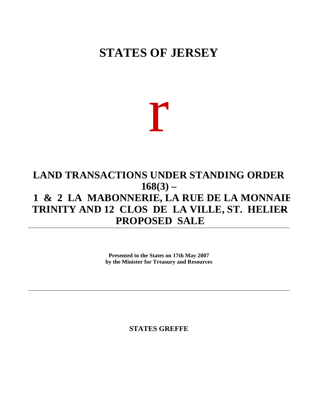## **STATES OF JERSEY**

r

## **LAND TRANSACTIONS UNDER STANDING ORDER 168(3) – 1 & 2 LA MABONNERIE, LA RUE DE LA MONNAIE, TRINITY AND 12 CLOS DE LA VILLE, ST. HELIER – PROPOSED SALE**

**Presented to the States on 17th May 2007 by the Minister for Treasury and Resources**

**STATES GREFFE**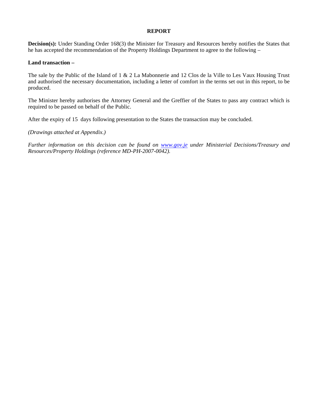## **REPORT**

**Decision(s):** Under Standing Order 168(3) the Minister for Treasury and Resources hereby notifies the States that he has accepted the recommendation of the Property Holdings Department to agree to the following –

## **Land transaction –**

The sale by the Public of the Island of 1 & 2 La Mabonnerie and 12 Clos de la Ville to Les Vaux Housing Trust and authorised the necessary documentation, including a letter of comfort in the terms set out in this report, to be produced.

The Minister hereby authorises the Attorney General and the Greffier of the States to pass any contract which is required to be passed on behalf of the Public.

After the expiry of 15 days following presentation to the States the transaction may be concluded.

*(Drawings attached at Appendix.)*

*Further information on this decision can be found on <www.gov.je> under Ministerial Decisions/Treasury and Resources/Property Holdings (reference MD-PH-2007-0042).*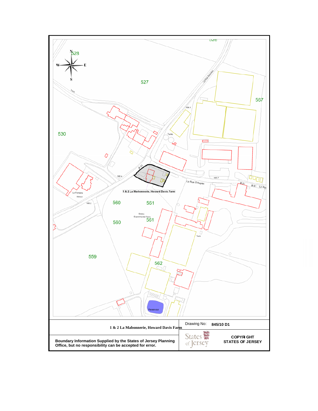